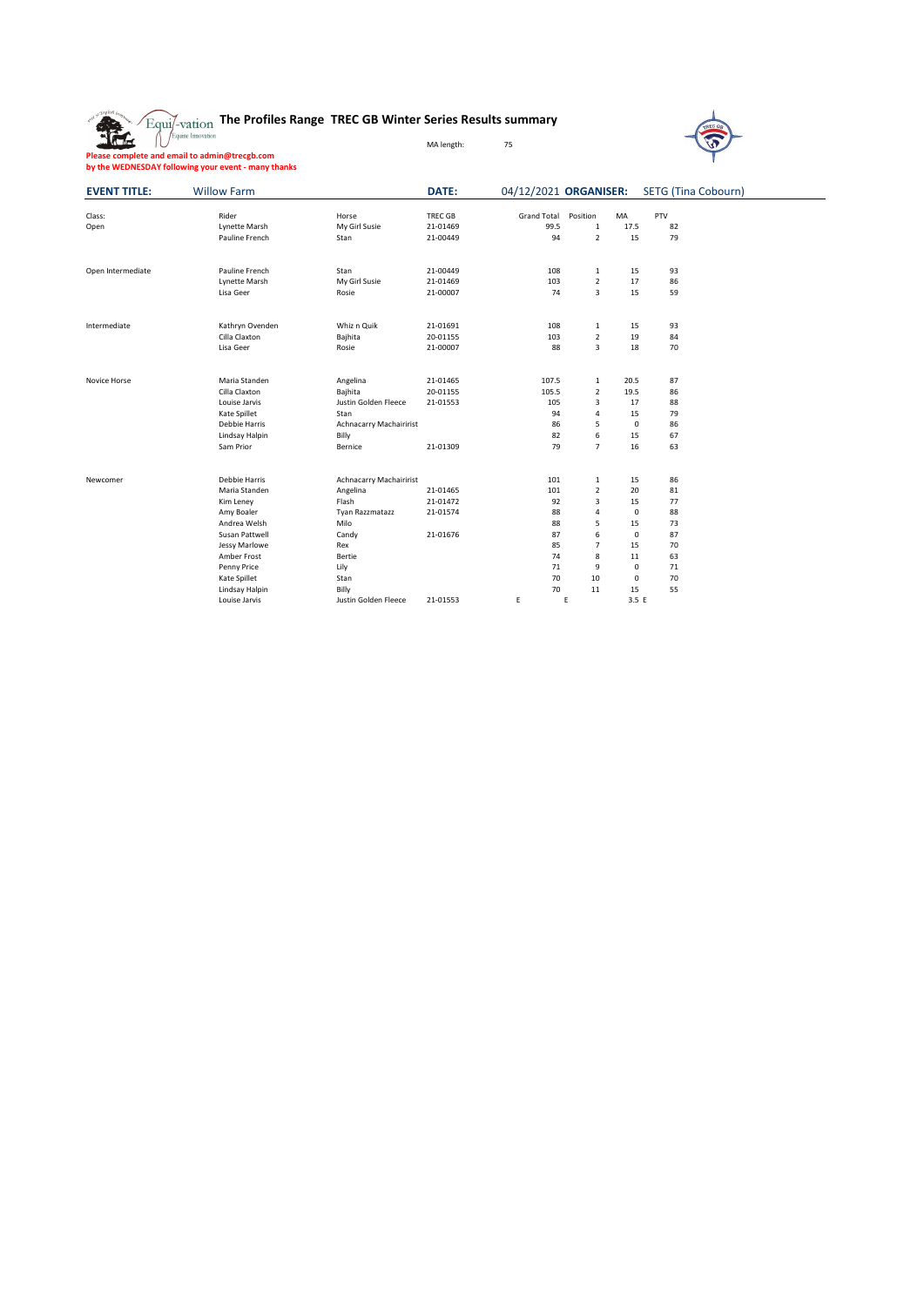| $\text{Equi}$ /-vation The Profiles Range TREC GB Winter Series Results summary<br>$\bigcap_{\text{Equi} \in \text{Incovation}}$ | MA length: | 75 |
|----------------------------------------------------------------------------------------------------------------------------------|------------|----|



 $\overline{\phantom{0}}$ 

**Please complete and email to admin@trecgb.com by the WEDNESDAY following your event - many thanks**

| <b>EVENT TITLE:</b> | <b>Willow Farm</b>   |                                | DATE:          |             |                |             | 04/12/2021 ORGANISER: SETG (Tina Cobourn) |  |
|---------------------|----------------------|--------------------------------|----------------|-------------|----------------|-------------|-------------------------------------------|--|
| Class:              | Rider                | Horse                          | <b>TREC GB</b> | Grand Total | Position       | MA          | PTV                                       |  |
| Open                | <b>Lynette Marsh</b> | My Girl Susie                  | 21-01469       | 99.5        | $\mathbf 1$    | 17.5        | 82                                        |  |
|                     | Pauline French       | Stan                           | 21-00449       | 94          | $\overline{2}$ | 15          | 79                                        |  |
| Open Intermediate   | Pauline French       | Stan                           | 21-00449       | 108         | 1              | 15          | 93                                        |  |
|                     | <b>Lynette Marsh</b> | My Girl Susie                  | 21-01469       | 103         | $\overline{2}$ | 17          | 86                                        |  |
|                     | Lisa Geer            | Rosie                          | 21-00007       | 74          | 3              | 15          | 59                                        |  |
| Intermediate        | Kathryn Ovenden      | Whiz n Quik                    | 21-01691       | 108         | 1              | 15          | 93                                        |  |
|                     | Cilla Claxton        | Bajhita                        | 20-01155       | 103         | $\overline{2}$ | 19          | 84                                        |  |
|                     | Lisa Geer            | Rosie                          | 21-00007       | 88          | 3              | 18          | 70                                        |  |
| Novice Horse        | Maria Standen        | Angelina                       | 21-01465       | 107.5       | 1              | 20.5        | 87                                        |  |
|                     | Cilla Claxton        | Bajhita                        | 20-01155       | 105.5       | $\overline{2}$ | 19.5        | 86                                        |  |
|                     | Louise Jarvis        | Justin Golden Fleece           | 21-01553       | 105         | 3              | 17          | 88                                        |  |
|                     | Kate Spillet         | Stan                           |                | 94          | 4              | 15          | 79                                        |  |
|                     | Debbie Harris        | <b>Achnacarry Machairirist</b> |                | 86          | 5              | $\mathbf 0$ | 86                                        |  |
|                     | Lindsay Halpin       | Billy                          |                | 82          | 6              | 15          | 67                                        |  |
|                     | Sam Prior            | Bernice                        | 21-01309       | 79          | $\overline{7}$ | 16          | 63                                        |  |
| Newcomer            | Debbie Harris        | Achnacarry Machairirist        |                | 101         | $\mathbf{1}$   | 15          | 86                                        |  |
|                     | Maria Standen        | Angelina                       | 21-01465       | 101         | $\overline{2}$ | 20          | 81                                        |  |
|                     | Kim Leney            | Flash                          | 21-01472       | 92          | 3              | 15          | 77                                        |  |
|                     | Amy Boaler           | Tyan Razzmatazz                | 21-01574       | 88          | 4              | $\mathbf 0$ | 88                                        |  |
|                     | Andrea Welsh         | Milo                           |                | 88          | 5              | 15          | 73                                        |  |
|                     | Susan Pattwell       | Candy                          | 21-01676       | 87          | 6              | $\mathbf 0$ | 87                                        |  |
|                     | Jessy Marlowe        | Rex                            |                | 85          | $\overline{7}$ | 15          | 70                                        |  |
|                     | Amber Frost          | Bertie                         |                | 74          | 8              | $11\,$      | 63                                        |  |
|                     | Penny Price          | Lily                           |                | 71          | 9              | $\mathsf 0$ | 71                                        |  |
|                     | Kate Spillet         | Stan                           |                | 70          | 10             | 0           | 70                                        |  |
|                     | Lindsay Halpin       | Billy                          |                | 70          | 11             | 15          | 55                                        |  |
|                     | Louise Jarvis        | Justin Golden Fleece           | 21-01553       | E           | E              | 3.5E        |                                           |  |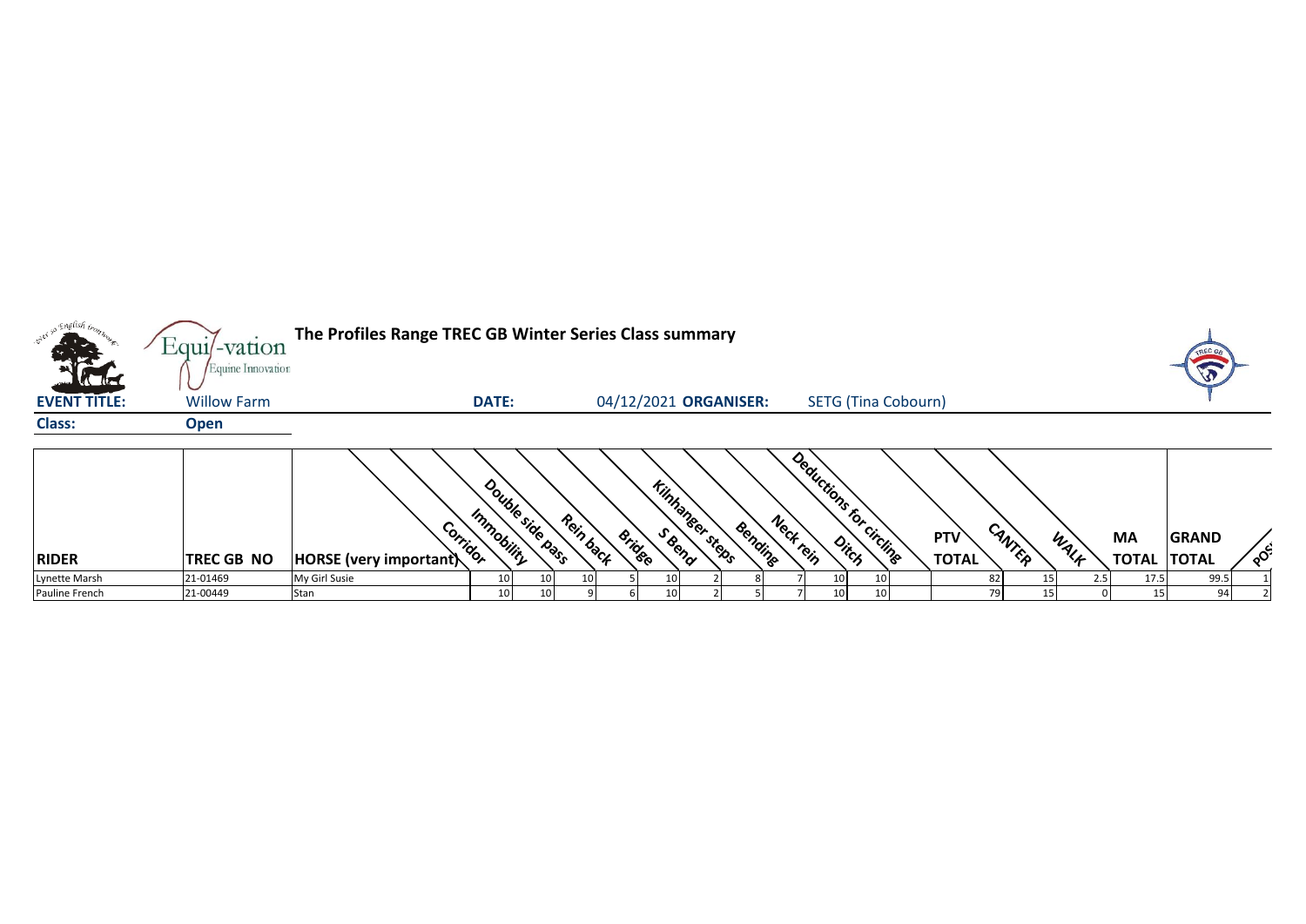|                                   | Equi/-vation<br>Equine Innovation | The Profiles Range TREC GB Winter Series Class summary |                                |           |                                         |         |           |    |                            |                     |        |      |                                 |              |               |
|-----------------------------------|-----------------------------------|--------------------------------------------------------|--------------------------------|-----------|-----------------------------------------|---------|-----------|----|----------------------------|---------------------|--------|------|---------------------------------|--------------|---------------|
| <b>KOK</b><br><b>EVENT TITLE:</b> | <b>Willow Farm</b>                |                                                        | <b>DATE:</b>                   |           | 04/12/2021 ORGANISER:                   |         |           |    | <b>SETG (Tina Cobourn)</b> |                     |        |      |                                 |              |               |
| <b>Class:</b>                     | <b>Open</b>                       |                                                        |                                |           |                                         |         |           |    |                            |                     |        |      |                                 |              |               |
| <b>RIDER</b>                      | <b>TREC GB NO</b>                 | Corridor<br>HORSE (very important)                     | Double side page<br>Immobility | Rein back | <b>Kinhaneer steps</b><br><b>Bridge</b> | Bending | Neck rein |    | Deductions for circlings   | PTV<br><b>TOTAL</b> | CANTER | WALK | <b>MA</b><br><b>TOTAL TOTAL</b> | <b>GRAND</b> | $\circ^\circ$ |
| Lynette Marsh                     | 21-01469                          | My Girl Susie                                          | 10                             |           | 10                                      |         |           |    |                            |                     |        |      | 17.5                            | 99.5         |               |
| Pauline French                    | 21-00449                          | Stan                                                   | 10                             |           | 10                                      |         |           | 10 |                            |                     |        |      |                                 | 94           |               |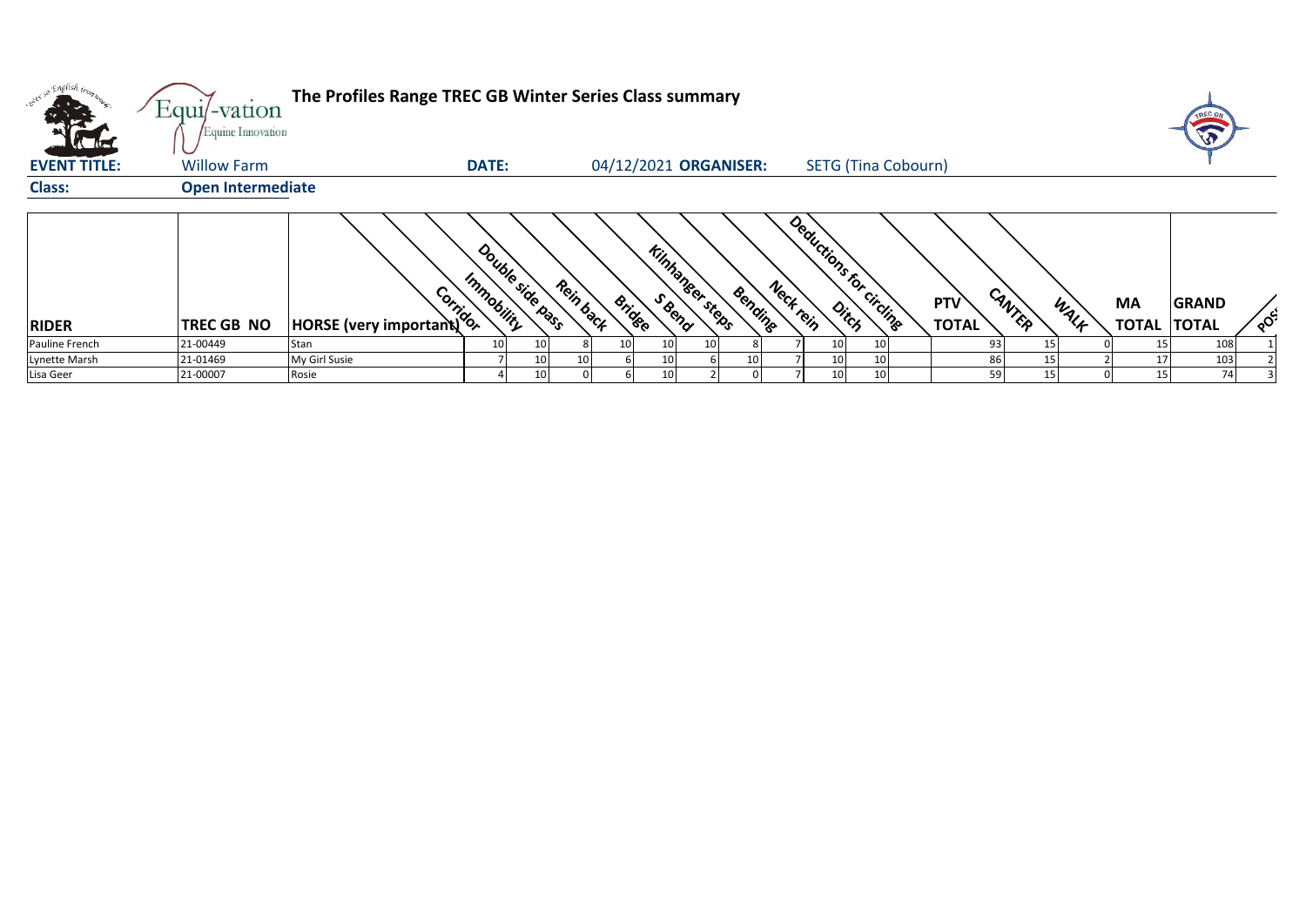|                     | Equi/-vation<br>Equine Innovation | The Profiles Range TREC GB Winter Series Class summary |                                 |           |                       |                                   |           |                            |                     |                |                          |              |  |
|---------------------|-----------------------------------|--------------------------------------------------------|---------------------------------|-----------|-----------------------|-----------------------------------|-----------|----------------------------|---------------------|----------------|--------------------------|--------------|--|
| <b>EVENT TITLE:</b> | <b>Willow Farm</b>                |                                                        | <b>DATE:</b>                    |           |                       | 04/12/2021 ORGANISER:             |           | <b>SETG (Tina Cobourn)</b> |                     |                |                          |              |  |
| <b>Class:</b>       | <b>Open Intermediate</b>          |                                                        |                                 |           |                       |                                   |           |                            |                     |                |                          |              |  |
| <b>RIDER</b>        | <b>TREC GB NO</b>                 | And the HORSE (very important)                         | Double side basss<br>Immobility | Rein back | <b>Bridge</b>         | <b>Kinhaneer steps</b><br>Bending | Neck rein | Deductions for circlines   | PTV<br><b>TOTAL</b> | CANTER<br>WALK | МA<br><b>TOTAL TOTAL</b> | <b>GRAND</b> |  |
| Pauline French      | 21-00449                          | Stan                                                   | 10                              |           | 10 <sup>1</sup><br>10 | 10                                |           | 10 <sup>1</sup><br>10      |                     | 93             |                          | 108          |  |
| Lynette Marsh       | 21-01469                          | My Girl Susie                                          |                                 |           | 10                    |                                   |           | 10<br>10                   |                     | 86             |                          | 103          |  |
| Lisa Geer           | 21-00007                          | Rosie                                                  |                                 |           | 10 <sup>1</sup>       |                                   |           | 10 <sup>1</sup><br>10      |                     | 59             | 15                       | 74           |  |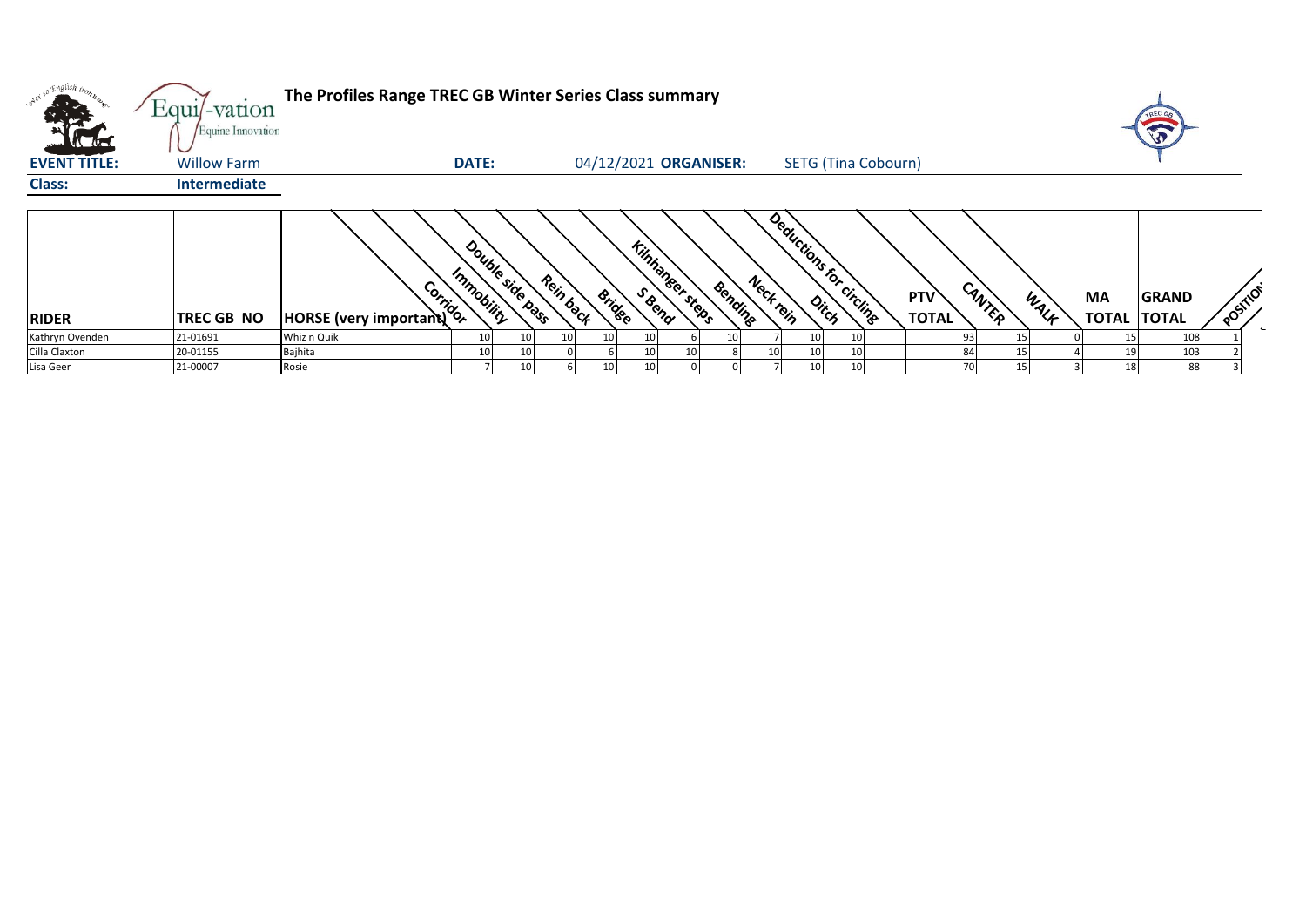| <b>SHEET</b>        | Equi/-vation                            | The Profiles Range TREC GB Winter Series Class summary |                                |           |        |                                             |          |                                    |                     |        |      |                                 | TREC GE                 |          |
|---------------------|-----------------------------------------|--------------------------------------------------------|--------------------------------|-----------|--------|---------------------------------------------|----------|------------------------------------|---------------------|--------|------|---------------------------------|-------------------------|----------|
| <b>EVENT TITLE:</b> | Equine Innovation<br><b>Willow Farm</b> |                                                        | <b>DATE:</b>                   |           |        | 04/12/2021 ORGANISER:                       |          | <b>SETG (Tina Cobourn)</b>         |                     |        |      |                                 | $\widehat{\widehat{w}}$ |          |
| <b>Class:</b>       | <b>Intermediate</b>                     |                                                        |                                |           |        |                                             |          |                                    |                     |        |      |                                 |                         |          |
| <b>RIDER</b>        | <b>TREC GB NO</b>                       | AN ATT                                                 | Double side base<br>Immobility | Rein back | Bridge | <b>Kinhaneer steps</b><br>Bending<br>S Bend | Neckrein | Deductions for circling            | PTV<br><b>TOTAL</b> | CANTER | WALK | <b>MA</b><br><b>TOTAL TOTAL</b> | GRAND                   | POSITION |
| Kathryn Ovenden     | 21-01691                                | Whiz n Quik                                            | 10                             |           |        |                                             |          | 10<br>10                           |                     | 93     |      |                                 | 108                     |          |
| Cilla Claxton       | 20-01155                                | Bajhita                                                | 10 <sup>1</sup>                |           |        |                                             |          | 10<br>10                           |                     | 84     |      |                                 | 103                     |          |
| Lisa Geer           | 21-00007                                | Rosie                                                  |                                | 10 I      |        |                                             |          | 10 <sup>1</sup><br>10 <sup>1</sup> |                     | 70     |      | 18                              | 88                      |          |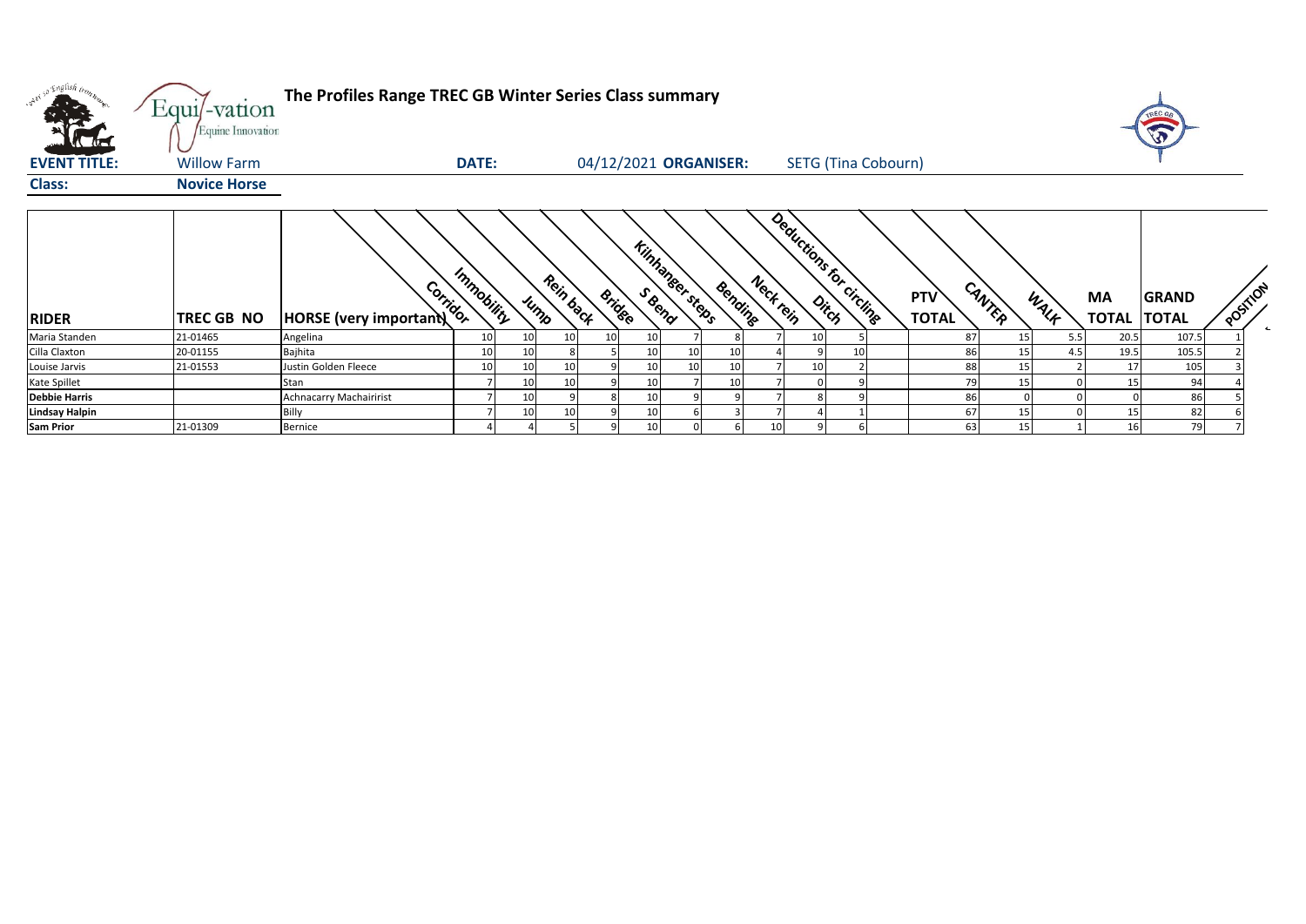| v <sup>i ci</sup> English inon. | Equi/-vation<br>Equine Innovation | The Profiles Range TREC GB Winter Series Class summary |              |      |           |               |                        |                       |                 |                            |                               |                        |      | 5                           |                          |
|---------------------------------|-----------------------------------|--------------------------------------------------------|--------------|------|-----------|---------------|------------------------|-----------------------|-----------------|----------------------------|-------------------------------|------------------------|------|-----------------------------|--------------------------|
| <b>EVENT TITLE:</b>             | <b>Willow Farm</b>                |                                                        | <b>DATE:</b> |      |           |               |                        | 04/12/2021 ORGANISER: |                 | <b>SETG (Tina Cobourn)</b> |                               |                        |      |                             |                          |
| <b>Class:</b>                   | <b>Novice Horse</b>               |                                                        |              |      |           |               |                        |                       |                 |                            |                               |                        |      |                             |                          |
| <b>RIDER</b>                    | TREC GB NO                        | Corridor<br>HORSE (very important)                     | Immobility   | Jump | Rein back | <b>Bridge</b> | <b>Kinhaneer steps</b> | Bending               | Neck rein       | Deductions for circling    | CANTER<br>PTV<br><b>TOTAL</b> | MA<br>WALK             |      | GRAND<br><b>TOTAL TOTAL</b> | POSITION<br>$\leftarrow$ |
| Maria Standen                   | 21-01465                          | Angelina                                               | 10           | 10   | 10        |               |                        |                       | 10 <sup>1</sup> |                            | 87                            | 15 <sup>1</sup><br>5.5 | 20.5 | 107.5                       |                          |
| Cilla Claxton                   | 20-01155                          | Bajhita                                                | 10           |      |           |               |                        |                       |                 |                            | 86                            | 15<br>4.5              | 19.5 | 105.5                       |                          |
| Louise Jarvis                   | 21-01553                          | Justin Golden Fleece                                   | 10           | 10   |           |               |                        | 10                    | 10 <sup>1</sup> |                            | 88                            | 15                     | 17   | 105                         |                          |
| Kate Spillet                    |                                   | Stan                                                   |              |      |           |               |                        | 10                    |                 |                            | 79                            | 15                     |      | 94                          |                          |
| <b>Debbie Harris</b>            |                                   | <b>Achnacarry Machairirist</b>                         |              | 10   |           |               |                        |                       |                 |                            | 86                            |                        |      | 86                          |                          |
| <b>Lindsay Halpin</b>           |                                   | Billy                                                  |              | 10   | 10        |               |                        |                       |                 |                            | 67                            | 15                     | 15   | 82                          |                          |
| <b>Sam Prior</b>                | 21-01309                          | Bernice                                                |              |      |           |               |                        |                       | 10              |                            | 63                            | 15 <sup>1</sup>        | 16   | 79                          |                          |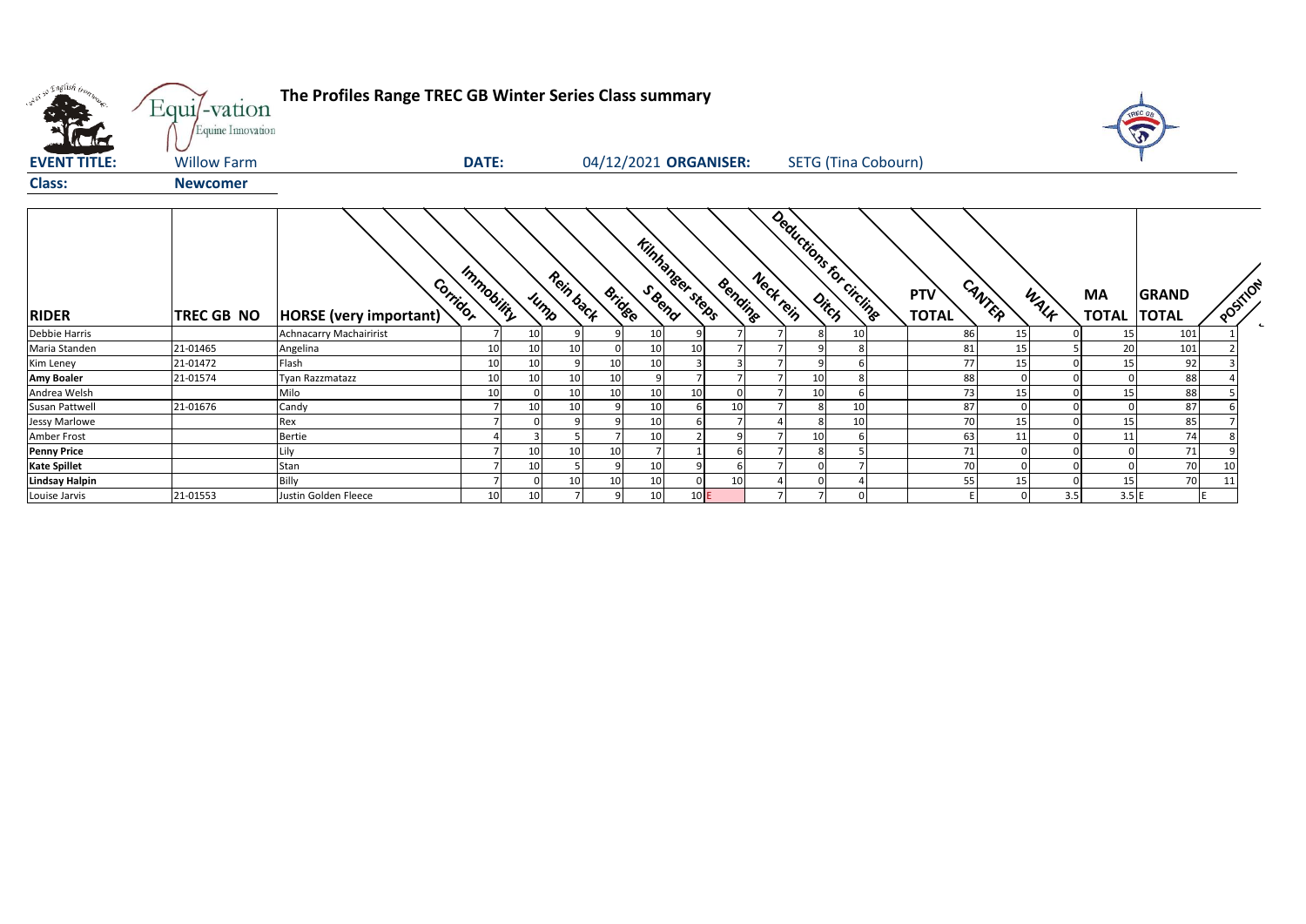| over so English trong | Equi/-vation<br>Equine Innovation | The Profiles Range TREC GB Winter Series Class summary |              |                 |                   |               |                                  |     |                 |           |    |                            |                            |                 |                           |                       |          |              |
|-----------------------|-----------------------------------|--------------------------------------------------------|--------------|-----------------|-------------------|---------------|----------------------------------|-----|-----------------|-----------|----|----------------------------|----------------------------|-----------------|---------------------------|-----------------------|----------|--------------|
| <b>EVENT TITLE:</b>   | <b>Willow Farm</b>                |                                                        | <b>DATE:</b> |                 |                   |               | 04/12/2021 ORGANISER:            |     |                 |           |    | <b>SETG (Tina Cobourn)</b> |                            |                 |                           |                       |          |              |
| <b>Class:</b>         | <b>Newcomer</b>                   |                                                        |              |                 |                   |               |                                  |     |                 |           |    |                            |                            |                 |                           |                       |          |              |
| <b>RIDER</b>          | <b>TREC GB NO</b>                 | Corridor<br>HORSE (very important)                     | Immobility   |                 | Rein back<br>Jump | <b>Bridge</b> | <b>Kinhansee steps</b><br>S Beno |     | Bending         | Neck rein |    | Deductions for circling    | <b>PTV</b><br><b>TOTAL</b> | CANTER<br>WALK  | <b>MA</b><br><b>TOTAL</b> | GRAND<br><b>TOTAL</b> | POSTILON | $\leftarrow$ |
| <b>Debbie Harris</b>  |                                   | <b>Achnacarry Machairirist</b>                         |              | 10              |                   |               | 10                               |     |                 |           |    | 10                         | 86                         | 15              | 15                        | 101                   |          |              |
| Maria Standen         | 21-01465                          | Angelina                                               | 10           | 10              | 10                |               | 10                               | 10  |                 |           |    | 8                          | 81                         | 15              | 20                        | 101                   |          |              |
| Kim Leney             | 21-01472                          | Flash                                                  | 10           | 10              |                   | 10            | 10                               |     |                 |           |    | 6                          | 77                         | 15              | 15                        | 92                    |          |              |
| <b>Amy Boaler</b>     | 21-01574                          | Tyan Razzmatazz                                        | 10           | 10 <sup>1</sup> | 10                | 10            | $\mathsf{q}$                     |     |                 |           |    | 8                          | 88                         |                 | $\Omega$                  | 88                    |          |              |
| Andrea Welsh          |                                   | Milo                                                   | 10           |                 | 10                | 10            | 10                               | 10  |                 |           |    | 6                          | 73                         | 15              | 15                        | 88                    |          |              |
| Susan Pattwell        | 21-01676                          | Candy                                                  |              | 10              | 10                |               | 10                               |     | 10 <sup>1</sup> |           |    | 10                         | 87                         | $\Omega$        | $\mathbf 0$               | 87                    |          |              |
| Jessy Marlowe         |                                   | Rex                                                    |              |                 | q                 |               | 10                               |     |                 |           |    | 10 <sup>1</sup>            | 70                         | 15              | 15                        | 85                    |          |              |
| <b>Amber Frost</b>    |                                   | <b>Bertie</b>                                          |              |                 |                   |               | 10                               |     |                 |           | 10 | 6                          | 63                         | 11              | 11                        | 74                    |          |              |
| <b>Penny Price</b>    |                                   | Lily                                                   |              | 10              | 10                | 10            |                                  |     |                 |           |    |                            | 71                         | $\Omega$        | $\Omega$                  | 71                    |          |              |
| <b>Kate Spillet</b>   |                                   | Stan                                                   |              | 10              |                   | 9             | 10                               |     |                 |           |    |                            | 70                         |                 |                           | 70                    |          |              |
| <b>Lindsay Halpin</b> |                                   | Billy                                                  |              |                 | 10                | 10            | 10                               |     | 10              |           |    |                            | 55                         | 15              | 15                        | 70                    | 11       |              |
| Louise Jarvis         | 21-01553                          | Justin Golden Fleece                                   | 10           | 10              |                   |               | 10                               | 10E |                 |           |    | $\Omega$                   |                            | $\Omega$<br>3.5 | 3.5E                      |                       | E        |              |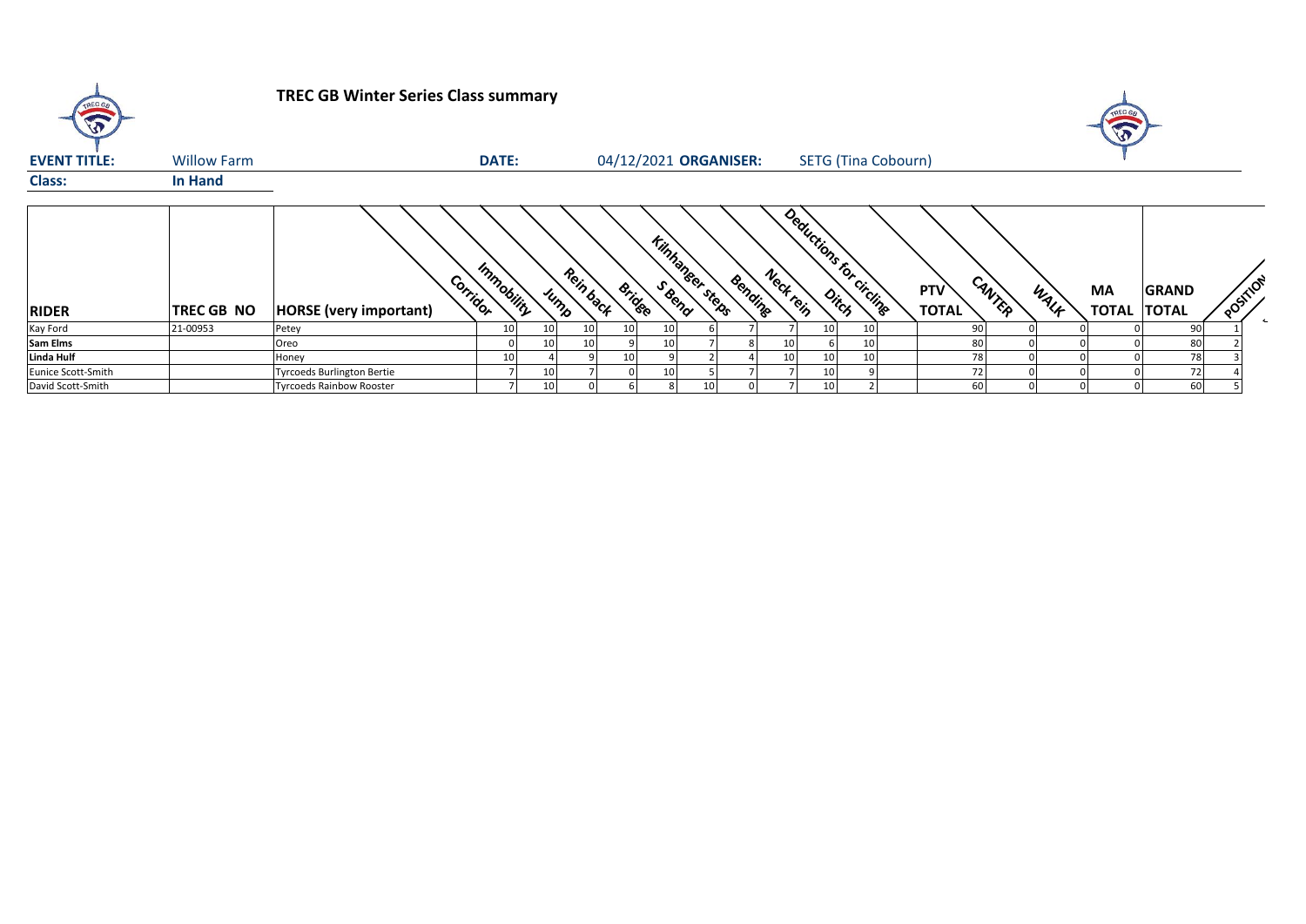| TREC GA             |                    | <b>TREC GB Winter Series Class summary</b> |              |      |                            |                 |                        |         |           |    |                                   |                            |        |      | A                        |              |         |
|---------------------|--------------------|--------------------------------------------|--------------|------|----------------------------|-----------------|------------------------|---------|-----------|----|-----------------------------------|----------------------------|--------|------|--------------------------|--------------|---------|
| <b>EVENT TITLE:</b> | <b>Willow Farm</b> |                                            | <b>DATE:</b> |      | 04/12/2021 ORGANISER:      |                 |                        |         |           |    | <b>SETG (Tina Cobourn)</b>        |                            |        |      |                          |              |         |
| <b>Class:</b>       | <b>In Hand</b>     |                                            |              |      |                            |                 |                        |         |           |    |                                   |                            |        |      |                          |              |         |
| <b>RIDER</b>        | <b>TREC GB NO</b>  | Corridor<br><b>HORSE</b> (very important)  | Immobility   | Jump | Rein back<br><b>Bridge</b> |                 | <b>Kinhansee steps</b> | Bending | Neck tein |    | Deductions for circlinge<br>Ditch | <b>PTV</b><br><b>TOTAL</b> | CANTER | WALK | MA<br><b>TOTAL TOTAL</b> | <b>GRAND</b> | POSTION |
| Kay Ford            | 21-00953           | Petey                                      |              | 10   | 10<br>10                   | 10 <sup>1</sup> |                        |         |           | 10 |                                   | 90                         |        |      |                          | 90           |         |
| Sam Elms            |                    | Oreo                                       |              | 10   | 10                         | 10              |                        |         | 10        |    |                                   | 80                         |        |      |                          | 80           |         |
| Linda Hulf          |                    | Honey                                      |              |      |                            |                 |                        |         | 10        | 10 |                                   | 78                         |        |      |                          | 78           |         |
| Eunice Scott-Smith  |                    | <b>Tyrcoeds Burlington Bertie</b>          |              | 10   |                            | 10 <sup>1</sup> |                        |         |           | 10 |                                   | 72                         |        |      |                          | 72           |         |
| David Scott-Smith   |                    | <b>Tyrcoeds Rainbow Rooster</b>            |              | 10   |                            | 81              | 10                     |         |           | 10 |                                   | 60                         |        |      |                          | 60           |         |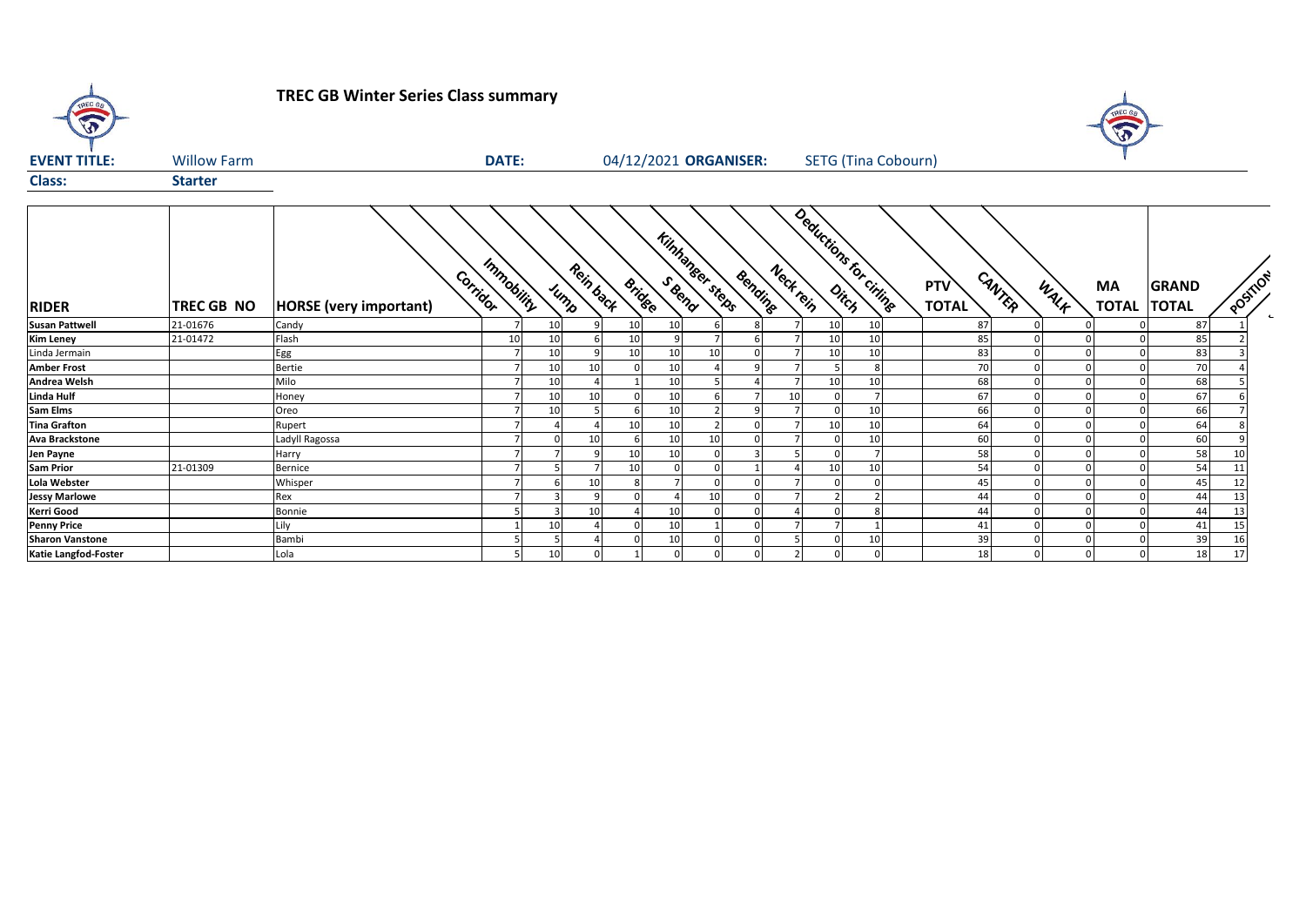**TREC GB Winter Series Class summary**

 $\sigma$ 



| <b>EVENT TITLE:</b>    | <b>Willow Farm</b> |                                           | <b>DATE:</b>    |    |          |                 | 04/12/2021 ORGANISER:            |    |                      |                 | <b>SETG</b> (Tina Cobourn) |                     |        |      |                           |                              |          |        |
|------------------------|--------------------|-------------------------------------------|-----------------|----|----------|-----------------|----------------------------------|----|----------------------|-----------------|----------------------------|---------------------|--------|------|---------------------------|------------------------------|----------|--------|
| <b>Class:</b>          | <b>Starter</b>     |                                           |                 |    |          |                 |                                  |    |                      |                 |                            |                     |        |      |                           |                              |          |        |
| <b>RIDER</b>           | TREC GB NO         | Corridor<br><b>HORSE</b> (very important) | Immobility      |    | Jump     | Rein back       | Kinhanger steps<br><b>Bridge</b> |    | Neck rein<br>Bending |                 | Deductions for criting     | PTV<br><b>TOTAL</b> | CANTER | WALK | <b>MA</b><br><b>TOTAL</b> | <b>GRAND</b><br><b>TOTAL</b> | POSITION | $\sim$ |
| <b>Susan Pattwell</b>  | 21-01676           | Candy                                     |                 | 10 | $\Omega$ | 10 <sup>1</sup> | 10                               |    |                      | 10 <sup>1</sup> | 10                         | 87                  |        |      |                           | 87                           |          |        |
| <b>Kim Leney</b>       | 21-01472           | Flash                                     | 10 <sup>1</sup> | 10 |          | 10              |                                  |    |                      | 10              | 10                         | 85                  |        |      |                           | 85                           |          |        |
| Linda Jermain          |                    | Egg                                       |                 | 10 | $\Omega$ | 10              | 10                               | 10 |                      | 10              | 10                         | 83                  |        |      |                           | 83                           |          |        |
| <b>Amber Frost</b>     |                    | Bertie                                    |                 | 10 | 10       |                 |                                  |    |                      |                 |                            | 70                  |        |      |                           | 70                           |          |        |
| <b>Andrea Welsh</b>    |                    | Milo                                      |                 | 10 |          |                 | 10                               |    |                      | 10              | 10                         | 68                  |        |      |                           | 68                           |          |        |
| <b>Linda Hulf</b>      |                    | Honey                                     |                 | 10 | 10       |                 | 10                               |    | 10                   |                 |                            | 67                  |        |      |                           | 67                           |          |        |
| <b>Sam Elms</b>        |                    | Oreo                                      |                 | 10 |          |                 |                                  |    |                      |                 | 10                         | 66                  |        |      |                           | 66                           |          |        |
| <b>Tina Grafton</b>    |                    | Rupert                                    |                 |    |          | 10              | 10                               |    |                      | 10              | 10                         | 64                  |        |      |                           | 64                           |          |        |
| <b>Ava Brackstone</b>  |                    | Ladyll Ragossa                            |                 |    | 10       |                 | 10                               | 10 |                      | $\Omega$        | 10                         | 60                  |        |      |                           | 60                           |          |        |
| Jen Payne              |                    | Harry                                     |                 |    |          | 10              |                                  |    |                      |                 |                            | 58                  |        |      |                           | 58                           |          |        |
| <b>Sam Prior</b>       | 21-01309           | Bernice                                   |                 |    |          | 10              |                                  |    |                      | 10              | 10                         | 54                  |        |      |                           | 54                           | 11       |        |
| Lola Webster           |                    | Whisper                                   |                 |    | 10       |                 |                                  |    |                      |                 |                            | 45                  |        |      |                           | 45                           | 12       |        |
| <b>Jessy Marlowe</b>   |                    | Rex                                       |                 |    |          |                 |                                  | 10 |                      |                 |                            | 44                  |        |      |                           | 44                           | 13       |        |
| <b>Kerri Good</b>      |                    | Bonnie                                    |                 |    | 10       |                 |                                  |    |                      |                 |                            | 44                  |        |      |                           | 44                           | 13       |        |
| <b>Penny Price</b>     |                    | Lily                                      |                 | 10 |          |                 |                                  |    |                      |                 |                            | 41                  |        |      |                           | 41                           |          |        |
| <b>Sharon Vanstone</b> |                    | Bambi                                     |                 |    |          |                 |                                  |    |                      | $\Omega$        | 10                         | 39                  |        |      |                           | 39                           |          |        |
| Katie Langfod-Foster   |                    | Lola                                      | 5 <sup>1</sup>  | 10 | 0        |                 |                                  |    | $\overline{2}$       | 0               |                            | 18                  |        | 0    |                           | 18                           | 17       |        |